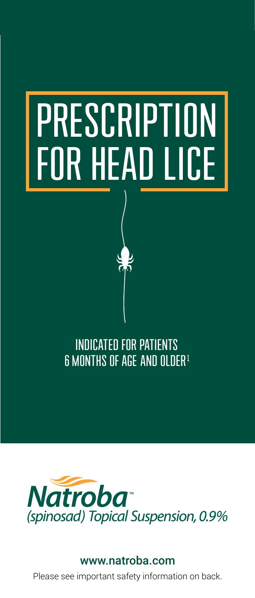# PRESCRIPTION FOR HEAD LICE

## INDICATED FOR PATIENTS 6 MONTHS OF AGE AND OLDER<sup>1</sup>



#### www.natroba.com

Please see important safety information on back.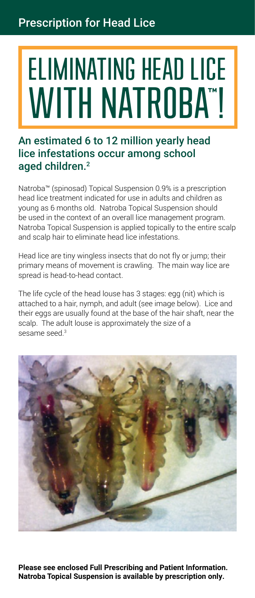## ELIMINATING HEAD LICE WITH NATROBA™ !

### An estimated 6 to 12 million yearly head lice infestations occur among school aged children.<sup>2</sup>

Natroba™ (spinosad) Topical Suspension 0.9% is a prescription head lice treatment indicated for use in adults and children as young as 6 months old. Natroba Topical Suspension should be used in the context of an overall lice management program. Natroba Topical Suspension is applied topically to the entire scalp and scalp hair to eliminate head lice infestations.

Head lice are tiny wingless insects that do not fly or jump; their primary means of movement is crawling. The main way lice are spread is head-to-head contact.

The life cycle of the head louse has 3 stages: egg (nit) which is attached to a hair, nymph, and adult (see image below). Lice and their eggs are usually found at the base of the hair shaft, near the scalp. The adult louse is approximately the size of a sesame seed.<sup>3</sup>



**Please see enclosed Full Prescribing and Patient Information. Natroba Topical Suspension is available by prescription only.**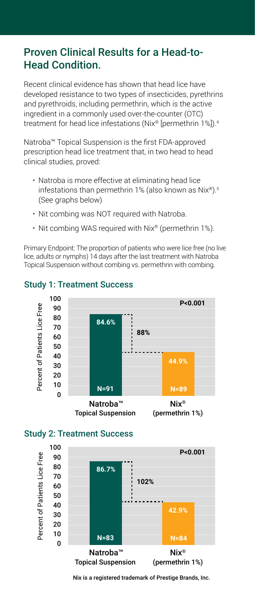## Proven Clinical Results for a Head-to-Head Condition.

Recent clinical evidence has shown that head lice have developed resistance to two types of insecticides, pyrethrins and pyrethroids, including permethrin, which is the active ingredient in a commonly used over-the-counter (OTC) treatment for head lice infestations (Nix® [permethrin 1%]).4

Natroba™ Topical Suspension is the first FDA-approved prescription head lice treatment that, in two head to head clinical studies, proved:

- Natroba is more effective at eliminating head lice infestations than permethrin 1% (also known as Nix®).5 (See graphs below)
- Nit combing was NOT required with Natroba.
- Nit combing WAS required with Nix® (permethrin 1%).

Primary Endpoint: The proportion of patients who were lice free (no live lice, adults or nymphs) 14 days after the last treatment with Natroba Topical Suspension without combing vs. permethrin with combing.



#### Study 1: Treatment Success





Nix is a registered trademark of Prestige Brands, Inc.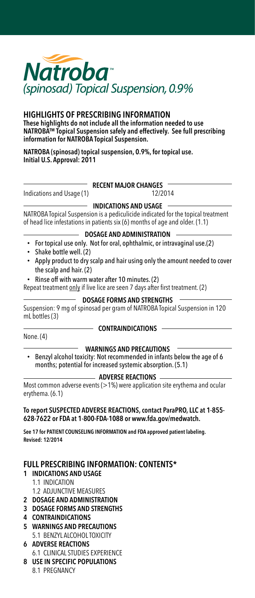

#### HIGHLIGHTS OF PRESCRIBING INFORMATION

These highlights do not include all the information needed to use NATROBA™ Topical Suspension safely and effectively. See full prescribing information for NATROBA Topical Suspension.

NATROBA (spinosad) topical suspension, 0.9%, for topical use. Initial U.S. Approval: 2011

Indications and Usage (1) 12/2014

#### $-$  RECENT MAJOR CHANGES

#### $-$  INDICATIONS AND USAGE  $-$

NATROBA Topical Suspension is a pediculicide indicated for the topical treatment of head lice infestations in patients six (6) months of age and older. (1.1)

#### DOSAGE AND ADMINISTRATION

- For topical use only. Not for oral, ophthalmic, or intravaginal use.(2)
- Shake bottle well. (2)
- Apply product to dry scalp and hair using only the amount needed to cover the scalp and hair. (2)
- Rinse off with warm water after 10 minutes. (2)

Repeat treatment only if live lice are seen 7 days after first treatment. (2)

#### DOSAGE FORMS AND STRENGTHS

Suspension: 9 mg of spinosad per gram of NATROBA Topical Suspension in 120 mL bottles (3)

None. (4)

#### $-$  contraindications -

- WARNINGS AND PRECAUTIONS
- Benzyl alcohol toxicity: Not recommended in infants below the age of 6 months; potential for increased systemic absorption. (5.1)

#### - ADVERSE REACTIONS

Most common adverse events (>1%) were application site erythema and ocular erythema. (6.1)

#### To report SUSPECTED ADVERSE REACTIONS, contact ParaPRO, LLC at 1-855- 628-7622 or FDA at 1-800-FDA-1088 or www.fda.gov/medwatch.

See 17 for PATIENT COUNSELING INFORMATION and FDA approved patient labeling. Revised: 12/2014

#### FULL PRESCRIBING INFORMATION: CONTENTS\*

- 1 INDICATIONS AND USAGE
	- 1.1 INDICATION
	- 1.2 ADJUNCTIVE MEASURES
- 2 DOSAGE AND ADMINISTRATION
- 3 DOSAGE FORMS AND STRENGTHS
- 4 CONTRAINDICATIONS
- 5 WARNINGS AND PRECAUTIONS 5.1 BENZYL ALCOHOL TOXICITY
- 6 ADVERSE REACTIONS 6.1 CLINICAL STUDIES EXPERIENCE
- 8 USE IN SPECIFIC POPULATIONS
	- 8.1 PREGNANCY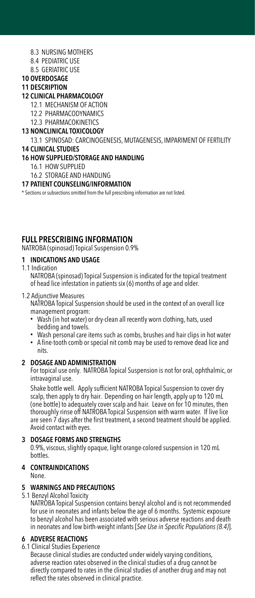- 8.3 NURSING MOTHERS
- 8.4 PEDIATRIC USE
- 8.5 GERIATRIC USE
- 10 OVERDOSAGE

#### 11 DESCRIPTION

#### 12 CLINICAL PHARMACOLOGY

- 12.1 MECHANISM OF ACTION
- 12.2 PHARMACODYNAMICS
- 12.3 PHARMACOKINETICS
- 13 NONCLINICAL TOXICOLOGY

13.1 SPINOSAD: CARCINOGENESIS, MUTAGENESIS, IMPARIMENT OF FERTILITY 14 CLINICAL STUDIES

#### 16 HOW SUPPLIED/STORAGE AND HANDLING

16.1 HOW SUPPLIED

#### 16.2 STORAGE AND HANDLING

#### 17 PATIENT COUNSELING/INFORMATION

\* Sections or subsections omitted from the full prescribing information are not listed.

#### FULL PRESCRIBING INFORMATION

NATROBA (spinosad) Topical Suspension 0.9%

#### 1 INDICATIONS AND USAGE

1.1 Indication

NATROBA (spinosad) Topical Suspension is indicated for the topical treatment of head lice infestation in patients six (6) months of age and older.

#### 1.2 Adjunctive Measures

NATROBA Topical Suspension should be used in the context of an overall lice management program:

- Wash (in hot water) or dry-clean all recently worn clothing, hats, used bedding and towels.
- Wash personal care items such as combs, brushes and hair clips in hot water
- A fine-tooth comb or special nit comb may be used to remove dead lice and nits.

#### 2 DOSAGE AND ADMINISTRATION

For topical use only. NATROBA Topical Suspension is not for oral, ophthalmic, or intravaginal use.

Shake bottle well. Apply sufficient NATROBA Topical Suspension to cover dry scalp, then apply to dry hair. Depending on hair length, apply up to 120 mL (one bottle) to adequately cover scalp and hair. Leave on for 10 minutes, then thoroughly rinse off NATROBA Topical Suspension with warm water. If live lice are seen 7 days after the first treatment, a second treatment should be applied. Avoid contact with eyes.

#### 3 DOSAGE FORMS AND STRENGTHS

0.9%, viscous, slightly opaque, light orange-colored suspension in 120 mL bottles.

#### 4 CONTRAINDICATIONS

None.

#### 5 WARNINGS AND PRECAUTIONS

5.1 Benzyl Alcohol Toxicity

NATROBA Topical Suspension contains benzyl alcohol and is not recommended for use in neonates and infants below the age of 6 months. Systemic exposure to benzyl alcohol has been associated with serious adverse reactions and death in neonates and low birth-weight infants [See Use in Specific Populations (8.4)].

#### 6 ADVERSE REACTIONS

6.1 Clinical Studies Experience

Because clinical studies are conducted under widely varying conditions, adverse reaction rates observed in the clinical studies of a drug cannot be directly compared to rates in the clinical studies of another drug and may not reflect the rates observed in clinical practice.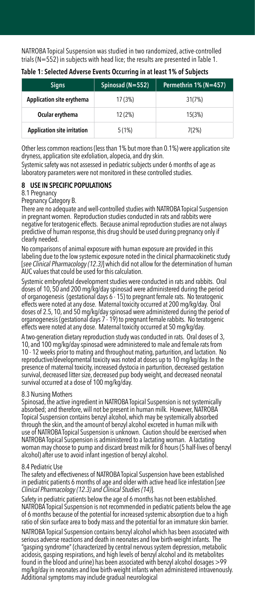NATROBA Topical Suspension was studied in two randomized, active-controlled trials (N=552) in subjects with head lice; the results are presented in Table 1.

| <b>Signs</b>                       | Spinosad (N=552) | Permethrin 1% (N=457) |
|------------------------------------|------------------|-----------------------|
| Application site erythema          | 17 (3%)          | 31(7%)                |
| Ocular erythema                    | 12 (2%)          | 15(3%)                |
| <b>Application site irritation</b> | 5(1%)            | 7(2%)                 |

Table 1: Selected Adverse Events Occurring in at least 1% of Subjects

Other less common reactions (less than 1% but more than 0.1%) were application site dryness, application site exfoliation, alopecia, and dry skin.

Systemic safety was not assessed in pediatric subjects under 6 months of age as laboratory parameters were not monitored in these controlled studies.

#### 8 USE IN SPECIFIC POPULATIONS

#### 8.1 Pregnancy

Pregnancy Category B.

There are no adequate and well-controlled studies with NATROBA Topical Suspension in pregnant women. Reproduction studies conducted in rats and rabbits were negative for teratogenic effects. Because animal reproduction studies are not always predictive of human response, this drug should be used during pregnancy only if clearly needed.

No comparisons of animal exposure with human exposure are provided in this labeling due to the low systemic exposure noted in the clinical pharmacokinetic study [see Clinical Pharmacology (12.3)] which did not allow for the determination of human AUC values that could be used for this calculation.

Systemic embryofetal development studies were conducted in rats and rabbits. Oral doses of 10, 50 and 200 mg/kg/day spinosad were administered during the period of organogenesis (gestational days 6 - 15) to pregnant female rats. No teratogenic effects were noted at any dose. Maternal toxicity occurred at 200 mg/kg/day. Oral doses of 2.5, 10, and 50 mg/kg/day spinosad were administered during the period of organogenesis (gestational days 7 - 19) to pregnant female rabbits. No teratogenic effects were noted at any dose. Maternal toxicity occurred at 50 mg/kg/day.

A two-generation dietary reproduction study was conducted in rats. Oral doses of 3, 10, and 100 mg/kg/day spinosad were administered to male and female rats from 10 - 12 weeks prior to mating and throughout mating, parturition, and lactation. No reproductive/developmental toxicity was noted at doses up to 10 mg/kg/day. In the presence of maternal toxicity, increased dystocia in parturition, decreased gestation survival, decreased litter size, decreased pup body weight, and decreased neonatal survival occurred at a dose of 100 mg/kg/day.

#### 8.3 Nursing Mothers

Spinosad, the active ingredient in NATROBA Topical Suspension is not systemically absorbed; and therefore, will not be present in human milk. However, NATROBA Topical Suspension contains benzyl alcohol, which may be systemically absorbed through the skin, and the amount of benzyl alcohol excreted in human milk with use of NATROBA Topical Suspension is unknown. Caution should be exercised when NATROBA Topical Suspension is administered to a lactating woman. A lactating woman may choose to pump and discard breast milk for 8 hours (5 half-lives of benzyl alcohol) after use to avoid infant ingestion of benzyl alcohol.

#### 8.4 Pediatric Use

The safety and effectiveness of NATROBA Topical Suspension have been established in pediatric patients 6 months of age and older with active head lice infestation [*see*  Clinical Pharmacology (12.3) and Clinical Studies (14)].

Safety in pediatric patients below the age of 6 months has not been established. NATROBA Topical Suspension is not recommended in pediatric patients below the age of 6 months because of the potential for increased systemic absorption due to a high ratio of skin surface area to body mass and the potential for an immature skin barrier.

NATROBA Topical Suspension contains benzyl alcohol which has been associated with serious adverse reactions and death in neonates and low birth-weight infants. The "gasping syndrome" (characterized by central nervous system depression, metabolic acidosis, gasping respirations, and high levels of benzyl alcohol and its metabolites found in the blood and urine) has been associated with benzyl alcohol dosages >99 mg/kg/day in neonates and low birth-weight infants when administered intravenously. Additional symptoms may include gradual neurological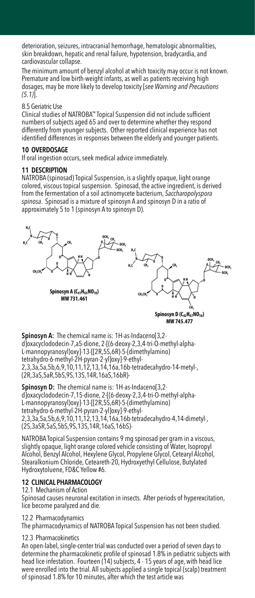deterioration, seizures, intracranial hemorrhage, hematologic abnormalities, skin breakdown, hepatic and renal failure, hypotension, bradycardia, and cardiovascular collapse.

The minimum amount of benzyl alcohol at which toxicity may occur is not known. Premature and low birth-weight infants, as well as patients receiving high dosages, may be more likely to develop toxicity [see Warning and Precautions  $(5.1)$ ].

#### 8.5 Geriatric Use

Clinical studies of NATROBA™ Topical Suspension did not include sufficient numbers of subjects aged 65 and over to determine whether they respond differently from younger subjects. Other reported clinical experience has not identified differences in responses between the elderly and younger patients.

#### 10 OVERDOSAGE

If oral ingestion occurs, seek medical advice immediately.

#### 11 DESCRIPTION

NATROBA (spinosad) Topical Suspension, is a slightly opaque, light orange **HH** colored, viscous topical suspension. Spinosad, the active ingredient, is derived **O O O** from the fermentation of a soil actinomycete bacterium, Saccharopolyspora **CH3CH2 O** spinosa. Spinosad is a mixture of spinosyn A and spinosyn D in a ratio of **H H H** approximately 5 to 1 (spinosyn A to spinosyn D).



Spinosyn A: The chemical name is: 1H-as-Indaceno[3,2d]oxacyclododecin-7,a5-dione, 2-[(6-deoxy-2,3,4-tri-O-methyl-alpha-**H3C CH3 CH3 O OCH3** L-mannopyranosyl)oxy]-13-[[2R,5S,6R)-5-(dimethylamino) tetrahydro-6-methyl-2H-pyran-2-yl]oxy]-9-ethyl-**O O O** 2,3,3a,5a,5b,6,9,10,11,12,13,14,16a,16b-tetradecahydro-14-metyl-, **CH3CH2 O** (2R,3aS,5aR,5bS,9S,13S,14R,16aS,16bR)- **H H H**

Spinosyn D: The chemical name is: 1H-as-Indaceno[3,2d]oxacyclododecin-7,15-dione, 2-[(6-deoxy-2,3,4-tri-O-methyl-alpha-L-mannopyranosyl)oxy]-13-[[2R,5S,6R)-5-(dimethylamino) tetrahydro-6-methyl-2H-pyran-2-yl]oxy]-9-ethyl-2,3,3a,5a,5b,6,9,10,11,12,13,14,16a,16b-tetradecahydro-4,14-dimetyl-, (2S,3aSR,5aS,5bS,9S,13S,14R,16aS,16bS)- **B**: The chemical na<br>dodecin-7,15-dione

NATROBA Topical Suspension contains 9 mg spinosad per gram in a viscous, slightly opaque, light orange colored vehicle consisting of Water, Isopropyl Alcohol, Benzyl Alcohol, Hexylene Glycol, Propylene Glycol, Cetearyl Alcohol, Stearalkonium Chloride, Ceteareth-20, Hydroxyethyl Cellulose, Butylated Hydroxytoluene, FD&C Yellow #6.

#### 12 CLINICAL PHARMACOLOGY

#### 12.1 Mechanism of Action

Spinosad causes neuronal excitation in insects. After periods of hyperexcitation, lice become paralyzed and die.

#### 12.2 Pharmacodynamics

The pharmacodynamics of NATROBA Topical Suspension has not been studied.

#### 12.3 Pharmacokinetics

An open-label, single-center trial was conducted over a period of seven days to determine the pharmacokinetic profile of spinosad 1.8% in pediatric subjects with head lice infestation. Fourteen (14) subjects, 4 - 15 years of age, with head lice were enrolled into the trial. All subjects applied a single topical (scalp) treatment of spinosad 1.8% for 10 minutes, after which the test article was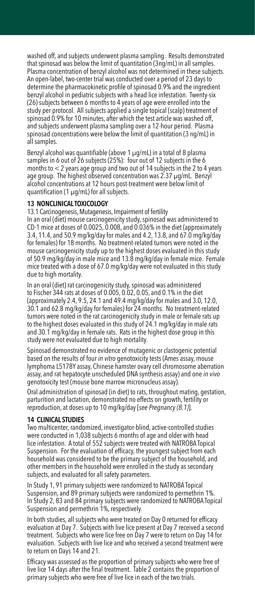washed off, and subjects underwent plasma sampling. Results demonstrated that spinosad was below the limit of quantitation (3ng/mL) in all samples. Plasma concentration of benzyl alcohol was not determined in these subjects. An open-label, two-center trial was conducted over a period of 23 days to determine the pharmacokinetic profile of spinosad 0.9% and the ingredient benzyl alcohol in pediatric subjects with a head lice infestation. Twenty-six (26) subjects between 6 months to 4 years of age were enrolled into the study per protocol. All subjects applied a single topical (scalp) treatment of spinosad 0.9% for 10 minutes, after which the test article was washed off, and subjects underwent plasma sampling over a 12-hour period. Plasma spinosad concentrations were below the limit of quantitation (3 ng/mL) in all samples.

Benzyl alcohol was quantifiable (above 1 μg/mL) in a total of 8 plasma samples in 6 out of 26 subjects (25%): four out of 12 subjects in the 6 months to < 2 years age group and two out of 14 subjects in the 2 to 4 years age group. The highest observed concentration was 2.37 μg/mL. Benzyl alcohol concentrations at 12 hours post-treatment were below limit of quantification (1 μg/mL) for all subjects.

#### 13 NONCLINICAL TOXICOLOGY

13.1 Carcinogenesis, Mutagenesis, Impairment of fertility

In an oral (diet) mouse carcinogenicity study, spinosad was administered to CD-1 mice at doses of 0.0025, 0.008, and 0.036% in the diet (approximately 3.4, 11.4, and 50.9 mg/kg/day for males and 4.2, 13.8, and 67.0 mg/kg/day for females) for 18 months. No treatment-related tumors were noted in the mouse carcinogenicity study up to the highest doses evaluated in this study of 50.9 mg/kg/day in male mice and 13.8 mg/kg/day in female mice. Female mice treated with a dose of 67.0 mg/kg/day were not evaluated in this study due to high mortality.

In an oral (diet) rat carcinogenicity study, spinosad was administered to Fischer 344 rats at doses of 0.005, 0.02, 0.05, and 0.1% in the diet (approximately 2.4, 9.5, 24.1 and 49.4 mg/kg/day for males and 3.0, 12.0, 30.1 and 62.8 mg/kg/day for females) for 24 months. No treatment-related tumors were noted in the rat carcinogenicity study in male or female rats up to the highest doses evaluated in this study of 24.1 mg/kg/day in male rats and 30.1 mg/kg/day in female rats. Rats in the highest dose group in this study were not evaluated due to high mortality.

Spinosad demonstrated no evidence of mutagenic or clastogenic potential based on the results of four in vitro genotoxicity tests (Ames assay, mouse lymphoma L5178Y assay, Chinese hamster ovary cell chromosome aberration assay, and rat hepatocyte unscheduled DNA synthesis assay) and one in vivo genotoxicity test (mouse bone marrow micronucleus assay).

Oral administration of spinosad (in diet) to rats, throughout mating, gestation, parturition and lactation, demonstrated no effects on growth, fertility or reproduction, at doses up to 10 mg/kg/day [see Pregnancy (8.1)].

#### 14 CLINICAL STUDIES

Two multicenter, randomized, investigator-blind, active-controlled studies were conducted in 1,038 subjects 6 months of age and older with head lice infestation. A total of 552 subjects were treated with NATROBA Topical Suspension. For the evaluation of efficacy, the youngest subject from each household was considered to be the primary subject of the household, and other members in the household were enrolled in the study as secondary subjects, and evaluated for all safety parameters.

In Study 1, 91 primary subjects were randomized to NATROBA Topical Suspension, and 89 primary subjects were randomized to permethrin 1%. In Study 2, 83 and 84 primary subjects were randomized to NATROBA Topical Suspension and permethrin 1%, respectively.

In both studies, all subjects who were treated on Day 0 returned for efficacy evaluation at Day 7. Subjects with live lice present at Day 7 received a second treatment. Subjects who were lice free on Day 7 were to return on Day 14 for evaluation. Subjects with live lice and who received a second treatment were to return on Days 14 and 21.

Efficacy was assessed as the proportion of primary subjects who were free of live lice 14 days after the final treatment. Table 2 contains the proportion of primary subjects who were free of live lice in each of the two trials.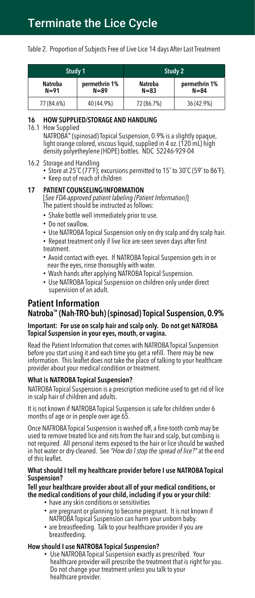## Terminate the Lice Cycle

Table 2. Proportion of Subjects Free of Live Lice 14 days After Last Treatment

| Study 1             |                           | Study 2                    |                           |
|---------------------|---------------------------|----------------------------|---------------------------|
| Natroba<br>$N = 91$ | permethrin 1%<br>$N = 89$ | <b>Natroba</b><br>$N = 83$ | permethrin 1%<br>$N = 84$ |
| 77 (84.6%)          | 40 (44.9%)                | 72 (86.7%)                 | 36 (42.9%)                |

#### 16 HOW SUPPLIED/STORAGE AND HANDLING

16.1 How Supplied

NATROBA™ (spinosad) Topical Suspension, 0.9% is a slightly opaque, light orange colored, viscous liquid, supplied in 4 oz. (120 mL) high density polyetheylene (HDPE) bottles. NDC 52246-929-04

#### 16.2 Storage and Handling

- Store at 25˚C (77˚F); excursions permitted to 15˚ to 30˚C (59˚ to 86˚F).
- Keep out of reach of children

#### 17 PATIENT COUNSELING/INFORMATION

[See FDA-approved patient labeling (Patient Information)] The patient should be instructed as follows:

- Shake bottle well immediately prior to use.
- Do not swallow.
- Use NATROBA Topical Suspension only on dry scalp and dry scalp hair.
- Repeat treatment only if live lice are seen seven days after first treatment.
- Avoid contact with eyes. If NATROBA Topical Suspension gets in or near the eyes, rinse thoroughly with water.
- Wash hands after applying NATROBA Topical Suspension.
- Use NATROBA Topical Suspension on children only under direct supervision of an adult.

#### Patient Information Natroba™ (Nah-TRO-buh) (spinosad) Topical Suspension, 0.9%

#### Important: For use on scalp hair and scalp only. Do not get NATROBA Topical Suspension in your eyes, mouth, or vagina.

Read the Patient Information that comes with NATROBA Topical Suspension before you start using it and each time you get a refill. There may be new information. This leaflet does not take the place of talking to your healthcare provider about your medical condition or treatment.

#### What is NATROBA Topical Suspension?

NATROBA Topical Suspension is a prescription medicine used to get rid of lice in scalp hair of children and adults.

It is not known if NATROBA Topical Suspension is safe for children under 6 months of age or in people over age 65.

Once NATROBA Topical Suspension is washed off, a fine-tooth comb may be used to remove treated lice and nits from the hair and scalp, but combing is not required. All personal items exposed to the hair or lice should be washed in hot water or dry-cleaned. See "How do I stop the spread of lice?" at the end of this leaflet.

#### What should I tell my healthcare provider before I use NATROBA Topical Suspension?

Tell your healthcare provider about all of your medical conditions, or the medical conditions of your child, including if you or your child:

- have any skin conditions or sensitivities
- are pregnant or planning to become pregnant. It is not known if NATROBA Topical Suspension can harm your unborn baby.
- are breastfeeding. Talk to your healthcare provider if you are breastfeeding.

#### How should I use NATROBA Topical Suspension?

• Use NATROBA Topical Suspension exactly as prescribed. Your healthcare provider will prescribe the treatment that is right for you. Do not change your treatment unless you talk to your healthcare provider.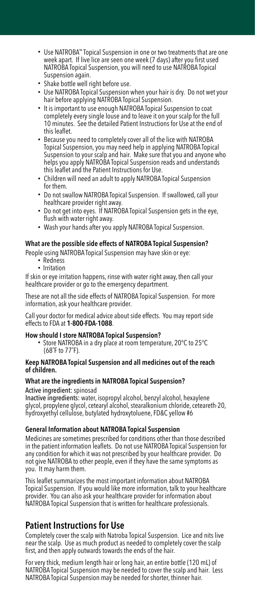- Use NATROBA™ Topical Suspension in one or two treatments that are one week apart. If live lice are seen one week (7 days) after you first used NATROBA Topical Suspension, you will need to use NATROBA Topical Suspension again.
- Shake bottle well right before use.
- Use NATROBA Topical Suspension when your hair is dry. Do not wet your hair before applying NATROBA Topical Suspension.
- It is important to use enough NATROBA Topical Suspension to coat completely every single louse and to leave it on your scalp for the full 10 minutes. See the detailed Patient Instructions for Use at the end of this leaflet.
- Because you need to completely cover all of the lice with NATROBA Topical Suspension, you may need help in applying NATROBA Topical Suspension to your scalp and hair. Make sure that you and anyone who helps you apply NATROBA Topical Suspension reads and understands this leaflet and the Patient Instructions for Use.
- Children will need an adult to apply NATROBA Topical Suspension for them.
- Do not swallow NATROBA Topical Suspension. If swallowed, call your healthcare provider right away.
- Do not get into eyes. If NATROBA Topical Suspension gets in the eye, flush with water right away.
- Wash your hands after you apply NATROBA Topical Suspension.

#### What are the possible side effects of NATROBA Topical Suspension?

People using NATROBA Topical Suspension may have skin or eye:

- Redness
- Irritation

If skin or eye irritation happens, rinse with water right away, then call your healthcare provider or go to the emergency department.

These are not all the side effects of NATROBA Topical Suspension. For more information, ask your healthcare provider.

Call your doctor for medical advice about side effects. You may report side effects to FDA at 1-800-FDA-1088.

#### How should I store NATROBA Topical Suspension?

• Store NATROBA in a dry place at room temperature, 20°C to 25°C (68˚F to 77˚F).

#### Keep NATROBA Topical Suspension and all medicines out of the reach of children.

#### What are the ingredients in NATROBA Topical Suspension?

Active ingredient: spinosad

Inactive ingredients: water, isopropyl alcohol, benzyl alcohol, hexaylene glycol, propylene glycol, cetearyl alcohol, stearalkonium chloride, ceteareth-20, hydroxyethyl cellulose, butylated hydroxytoluene, FD&C yellow #6

#### General Information about NATROBA Topical Suspension

Medicines are sometimes prescribed for conditions other than those described in the patient information leaflets. Do not use NATROBA Topical Suspension for any condition for which it was not prescribed by your healthcare provider. Do not give NATROBA to other people, even if they have the same symptoms as you. It may harm them.

This leaflet summarizes the most important information about NATROBA Topical Suspension. If you would like more information, talk to your healthcare provider. You can also ask your healthcare provider for information about NATROBA Topical Suspension that is written for healthcare professionals.

#### Patient Instructions for Use

Completely cover the scalp with Natroba Topical Suspension. Lice and nits live near the scalp. Use as much product as needed to completely cover the scalp first, and then apply outwards towards the ends of the hair.

For very thick, medium length hair or long hair, an entire bottle (120 mL) of NATROBA Topical Suspension may be needed to cover the scalp and hair. Less NATROBA Topical Suspension may be needed for shorter, thinner hair.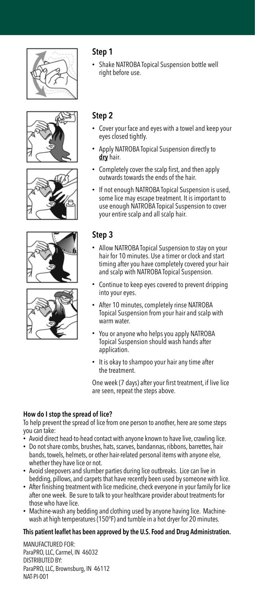









#### Step 1

• Shake NATROBA Topical Suspension bottle well right before use.

#### Step 2

- Cover your face and eyes with a towel and keep your eyes closed tightly.
- Apply NATROBA Topical Suspension directly to dry hair.
- Completely cover the scalp first, and then apply outwards towards the ends of the hair.
- If not enough NATROBA Topical Suspension is used, some lice may escape treatment. It is important to use enough NATROBA Topical Suspension to cover your entire scalp and all scalp hair.

#### Step 3

- Allow NATROBA Topical Suspension to stay on your hair for 10 minutes. Use a timer or clock and start timing after you have completely covered your hair and scalp with NATROBA Topical Suspension.
- Continue to keep eyes covered to prevent dripping into your eyes.
- After 10 minutes, completely rinse NATROBA Topical Suspension from your hair and scalp with warm water.
- You or anyone who helps you apply NATROBA Topical Suspension should wash hands after application.
- It is okay to shampoo your hair any time after the treatment.

One week (7 days) after your first treatment, if live lice are seen, repeat the steps above.

#### How do I stop the spread of lice?

To help prevent the spread of lice from one person to another, here are some steps you can take:

- Avoid direct head-to-head contact with anyone known to have live, crawling lice.
- Do not share combs, brushes, hats, scarves, bandannas, ribbons, barrettes, hair bands, towels, helmets, or other hair-related personal items with anyone else, whether they have lice or not.
- Avoid sleepovers and slumber parties during lice outbreaks. Lice can live in bedding, pillows, and carpets that have recently been used by someone with lice.
- After finishing treatment with lice medicine, check everyone in your family for lice after one week. Be sure to talk to your healthcare provider about treatments for those who have lice.
- Machine-wash any bedding and clothing used by anyone having lice. Machinewash at high temperatures (150°F) and tumble in a hot dryer for 20 minutes.

#### This patient leaflet has been approved by the U.S. Food and Drug Administration.

MANUFACTURED FOR: ParaPRO, LLC, Carmel, IN 46032 DISTRIBUTED BY: ParaPRO, LLC, Brownsburg, IN 46112 NAT-PI-001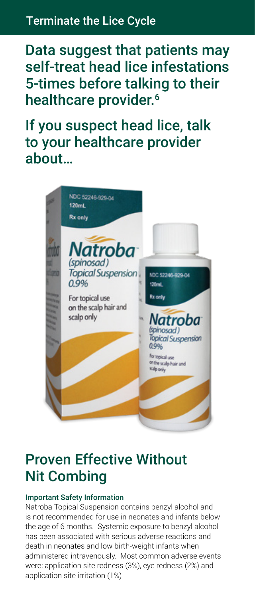## Terminate the Lice Cycle

Data suggest that patients may self-treat head lice infestations 5-times before talking to their healthcare provider.<sup>6</sup>

If you suspect head lice, talk to your healthcare provider about…



## Proven Effective Without Nit Combing

#### Important Safety Information

Natroba Topical Suspension contains benzyl alcohol and is not recommended for use in neonates and infants below the age of 6 months. Systemic exposure to benzyl alcohol has been associated with serious adverse reactions and death in neonates and low birth-weight infants when administered intravenously. Most common adverse events were: application site redness (3%), eye redness (2%) and application site irritation (1%)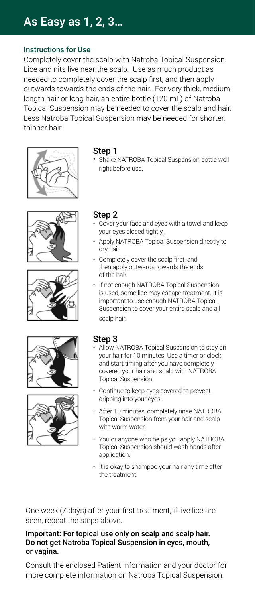## As Easy as 1, 2, 3…

#### Instructions for Use

Completely cover the scalp with Natroba Topical Suspension. Lice and nits live near the scalp. Use as much product as needed to completely cover the scalp first, and then apply outwards towards the ends of the hair. For very thick, medium length hair or long hair, an entire bottle (120 mL) of Natroba Topical Suspension may be needed to cover the scalp and hair. Less Natroba Topical Suspension may be needed for shorter, thinner hair.











#### Step 1

• Shake NATROBA Topical Suspension bottle well right before use.

#### Step 2

- Cover your face and eyes with a towel and keep your eyes closed tightly.
- Apply NATROBA Topical Suspension directly to dry hair.
- Completely cover the scalp first, and then apply outwards towards the ends of the hair.
- If not enough NATROBA Topical Suspension is used, some lice may escape treatment. It is important to use enough NATROBA Topical Suspension to cover your entire scalp and all scalp hair.

#### Step 3

- Allow NATROBA Topical Suspension to stay on your hair for 10 minutes. Use a timer or clock and start timing after you have completely covered your hair and scalp with NATROBA Topical Suspension.
- Continue to keep eyes covered to prevent dripping into your eyes.
- After 10 minutes, completely rinse NATROBA Topical Suspension from your hair and scalp with warm water.
- You or anyone who helps you apply NATROBA Topical Suspension should wash hands after application.
- It is okay to shampoo your hair any time after the treatment.

One week (7 days) after your first treatment, if live lice are seen, repeat the steps above.

#### Important: For topical use only on scalp and scalp hair. Do not get Natroba Topical Suspension in eyes, mouth, or vagina.

Consult the enclosed Patient Information and your doctor for more complete information on Natroba Topical Suspension.